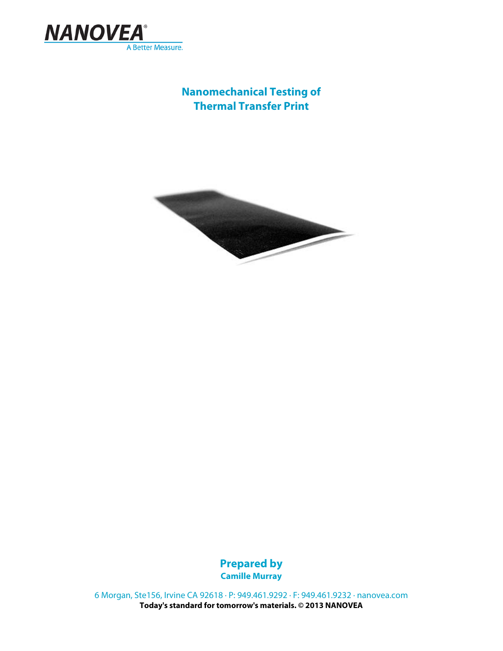

# **Nanomechanical Testing of Thermal Transfer Print**



**Prepared by Camille Murray**

6 Morgan, Ste156, Irvine CA 92618 · P: 949.461.9292 · F: 949.461.9232 · nanovea.com **Today's standard for tomorrow's materials. © 2013 NANOVEA**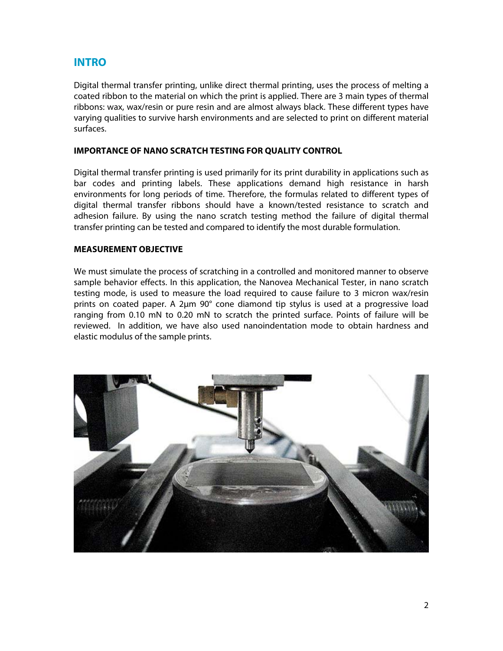## **INTRO**

Digital thermal transfer printing, unlike direct thermal printing, uses the process of melting a coated ribbon to the material on which the print is applied. There are 3 main types of thermal ribbons: wax, wax/resin or pure resin and are almost always black. These different types have varying qualities to survive harsh environments and are selected to print on different material surfaces.

#### **IMPORTANCE OF NANO SCRATCH TESTING FOR QUALITY CONTROL**

Digital thermal transfer printing is used primarily for its print durability in applications such as bar codes and printing labels. These applications demand high resistance in harsh environments for long periods of time. Therefore, the formulas related to different types of digital thermal transfer ribbons should have a known/tested resistance to scratch and adhesion failure. By using the nano scratch testing method the failure of digital thermal transfer printing can be tested and compared to identify the most durable formulation.

#### **MEASUREMENT OBJECTIVE**

We must simulate the process of scratching in a controlled and monitored manner to observe sample behavior effects. In this application, the Nanovea Mechanical Tester, in nano scratch testing mode, is used to measure the load required to cause failure to 3 micron wax/resin prints on coated paper. A 2μm 90° cone diamond tip stylus is used at a progressive load ranging from 0.10 mN to 0.20 mN to scratch the printed surface. Points of failure will be reviewed. In addition, we have also used nanoindentation mode to obtain hardness and elastic modulus of the sample prints.

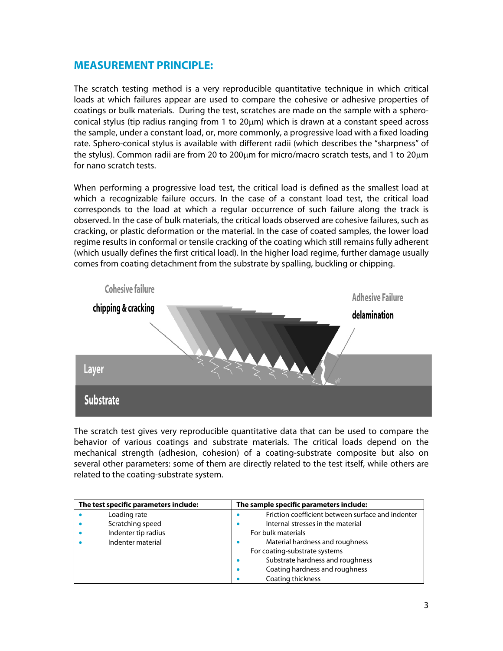## **MEASUREMENT PRINCIPLE:**

The scratch testing method is a very reproducible quantitative technique in which critical loads at which failures appear are used to compare the cohesive or adhesive properties of coatings or bulk materials. During the test, scratches are made on the sample with a spheroconical stylus (tip radius ranging from 1 to  $20\mu$ m) which is drawn at a constant speed across the sample, under a constant load, or, more commonly, a progressive load with a fixed loading rate. Sphero-conical stylus is available with different radii (which describes the "sharpness" of the stylus). Common radii are from 20 to 200 $\mu$ m for micro/macro scratch tests, and 1 to 20 $\mu$ m for nano scratch tests.

When performing a progressive load test, the critical load is defined as the smallest load at which a recognizable failure occurs. In the case of a constant load test, the critical load corresponds to the load at which a regular occurrence of such failure along the track is observed. In the case of bulk materials, the critical loads observed are cohesive failures, such as cracking, or plastic deformation or the material. In the case of coated samples, the lower load regime results in conformal or tensile cracking of the coating which still remains fully adherent (which usually defines the first critical load). In the higher load regime, further damage usually comes from coating detachment from the substrate by spalling, buckling or chipping.



The scratch test gives very reproducible quantitative data that can be used to compare the behavior of various coatings and substrate materials. The critical loads depend on the mechanical strength (adhesion, cohesion) of a coating-substrate composite but also on several other parameters: some of them are directly related to the test itself, while others are related to the coating-substrate system.

| The test specific parameters include: |                     | The sample specific parameters include:           |  |
|---------------------------------------|---------------------|---------------------------------------------------|--|
|                                       | Loading rate        | Friction coefficient between surface and indenter |  |
|                                       | Scratching speed    | Internal stresses in the material                 |  |
|                                       | Indenter tip radius | For bulk materials                                |  |
|                                       | Indenter material   | Material hardness and roughness                   |  |
|                                       |                     | For coating-substrate systems                     |  |
|                                       |                     | Substrate hardness and roughness                  |  |
|                                       |                     | Coating hardness and roughness                    |  |
|                                       |                     | Coating thickness                                 |  |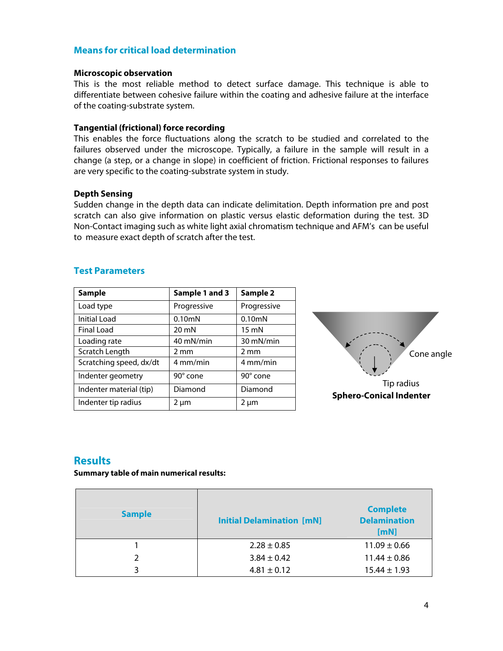#### **Means for critical load determination**

#### **Microscopic observation**

This is the most reliable method to detect surface damage. This technique is able to differentiate between cohesive failure within the coating and adhesive failure at the interface of the coating-substrate system.

#### **Tangential (frictional) force recording**

This enables the force fluctuations along the scratch to be studied and correlated to the failures observed under the microscope. Typically, a failure in the sample will result in a change (a step, or a change in slope) in coefficient of friction. Frictional responses to failures are very specific to the coating-substrate system in study.

#### **Depth Sensing**

Sudden change in the depth data can indicate delimitation. Depth information pre and post scratch can also give information on plastic versus elastic deformation during the test. 3D Non-Contact imaging such as white light axial chromatism technique and AFM's can be useful to measure exact depth of scratch after the test.

| <b>Sample</b>           | Sample 1 and 3      | Sample 2            |
|-------------------------|---------------------|---------------------|
| Load type               | Progressive         | Progressive         |
| <b>Initial Load</b>     | 0.10 <sub>m</sub> N | 0.10 <sub>m</sub> N |
| <b>Final Load</b>       | $20 \text{ mN}$     | $15 \text{ mN}$     |
| Loading rate            | 40 mN/min           | 30 mN/min           |
| Scratch Length          | $2 \text{ mm}$      | $2 \text{ mm}$      |
| Scratching speed, dx/dt | 4 mm/min            | 4 mm/min            |
| Indenter geometry       | 90° cone            | 90° cone            |
| Indenter material (tip) | Diamond             | Diamond             |
| Indenter tip radius     | 2 um                | 2 µm                |

#### **Test Parameters**



## **Results**

**Summary table of main numerical results:** 

| <b>Sample</b> | <b>Initial Delamination [mN]</b> | <b>Complete</b><br><b>Delamination</b><br>[mN] |
|---------------|----------------------------------|------------------------------------------------|
|               | $2.28 \pm 0.85$                  | $11.09 \pm 0.66$                               |
| $\mathcal{P}$ | $3.84 \pm 0.42$                  | $11.44 \pm 0.86$                               |
| ς             | $4.81 \pm 0.12$                  | $15.44 \pm 1.93$                               |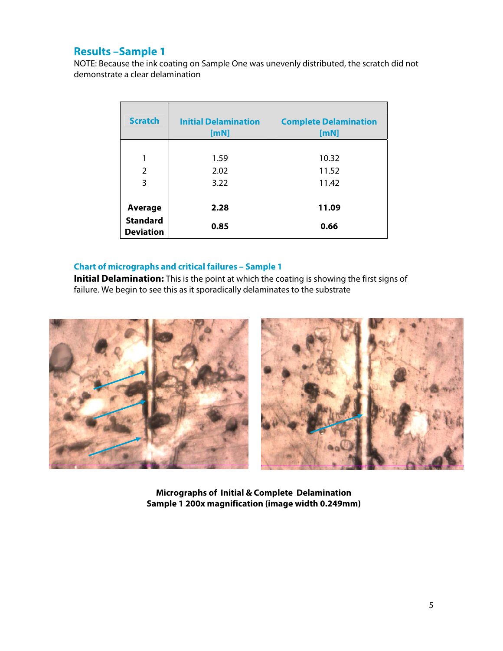## **Results –Sample 1**

NOTE: Because the ink coating on Sample One was unevenly distributed, the scratch did not demonstrate a clear delamination

| <b>Scratch</b>                      | <b>Initial Delamination</b><br>[mN] | <b>Complete Delamination</b><br>[mN] |
|-------------------------------------|-------------------------------------|--------------------------------------|
|                                     |                                     |                                      |
| 1                                   | 1.59                                | 10.32                                |
| 2                                   | 2.02                                | 11.52                                |
| 3                                   | 3.22                                | 11.42                                |
|                                     |                                     |                                      |
| <b>Average</b>                      | 2.28                                | 11.09                                |
| <b>Standard</b><br><b>Deviation</b> | 0.85                                | 0.66                                 |

### **Chart of micrographs and critical failures – Sample 1**

**Initial Delamination:** This is the point at which the coating is showing the first signs of failure. We begin to see this as it sporadically delaminates to the substrate



**Micrographs of Initial & Complete Delamination Sample 1 200x magnification (image width 0.249mm)**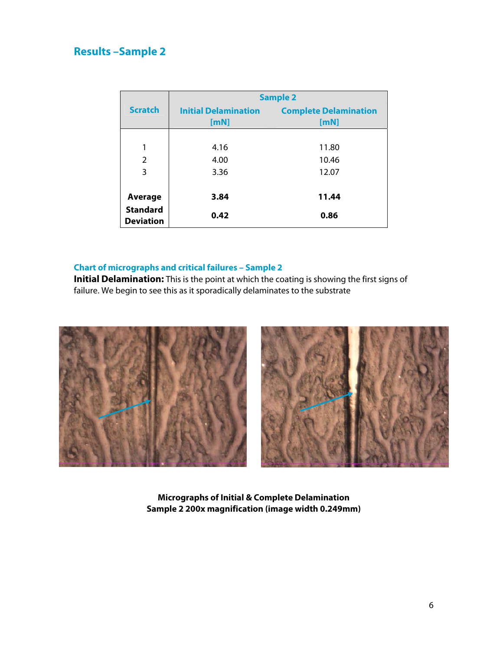# **Results –Sample 2**

|                                     | <b>Sample 2</b>             |                                      |  |
|-------------------------------------|-----------------------------|--------------------------------------|--|
| <b>Scratch</b>                      | <b>Initial Delamination</b> | <b>Complete Delamination</b><br>[mN] |  |
|                                     | [mN]                        |                                      |  |
|                                     |                             |                                      |  |
| 1                                   | 4.16                        | 11.80                                |  |
| $\overline{2}$                      | 4.00                        | 10.46                                |  |
| 3                                   | 3.36                        | 12.07                                |  |
|                                     |                             |                                      |  |
| Average                             | 3.84                        | 11.44                                |  |
| <b>Standard</b><br><b>Deviation</b> | 0.42                        | 0.86                                 |  |

## **Chart of micrographs and critical failures – Sample 2**

**Initial Delamination:** This is the point at which the coating is showing the first signs of failure. We begin to see this as it sporadically delaminates to the substrate



**Micrographs of Initial & Complete Delamination Sample 2 200x magnification (image width 0.249mm)**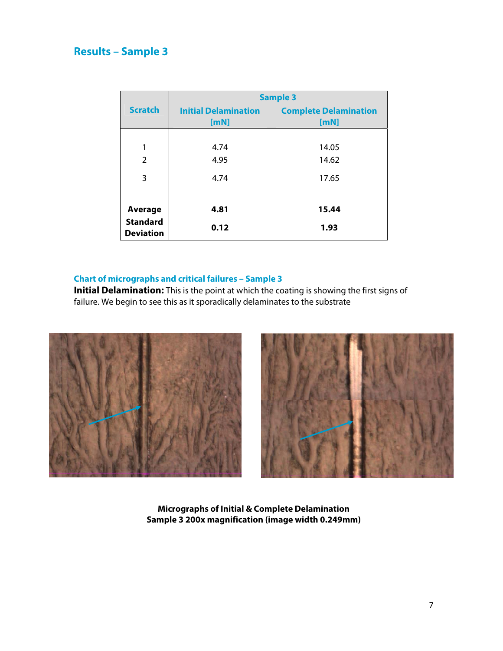# **Results – Sample 3**

|                                                | <b>Sample 3</b>                     |                                      |  |
|------------------------------------------------|-------------------------------------|--------------------------------------|--|
| <b>Scratch</b>                                 | <b>Initial Delamination</b><br>[mN] | <b>Complete Delamination</b><br>[mN] |  |
| 1<br>$\overline{2}$                            | 4.74<br>4.95                        | 14.05<br>14.62                       |  |
| 3                                              | 4.74                                | 17.65                                |  |
| Average<br><b>Standard</b><br><b>Deviation</b> | 4.81<br>0.12                        | 15.44<br>1.93                        |  |

### **Chart of micrographs and critical failures – Sample 3**

**Initial Delamination:** This is the point at which the coating is showing the first signs of failure. We begin to see this as it sporadically delaminates to the substrate



![](_page_6_Picture_5.jpeg)

**Micrographs of Initial & Complete Delamination Sample 3 200x magnification (image width 0.249mm)**